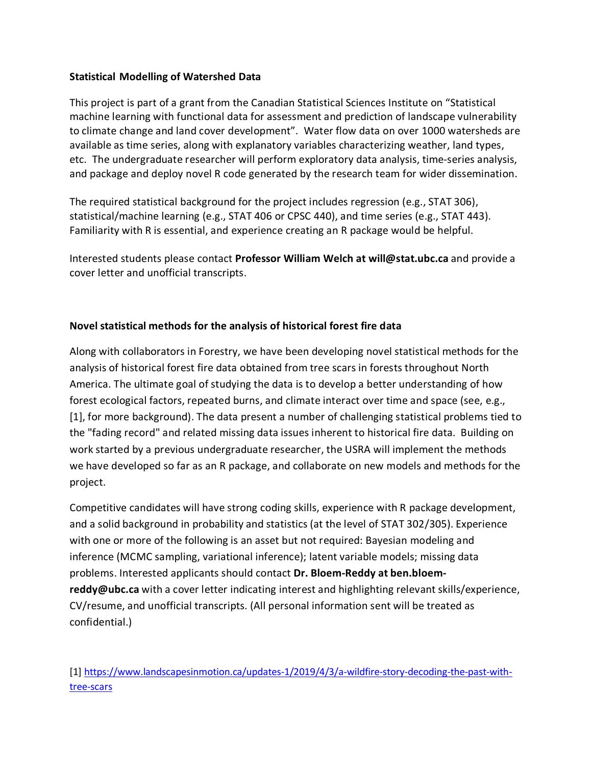## **Statistical Modelling of Watershed Data**

This project is part of a grant from the Canadian Statistical Sciences Institute on "Statistical machine learning with functional data for assessment and prediction of landscape vulnerability to climate change and land cover development". Water flow data on over 1000 watersheds are available as time series, along with explanatory variables characterizing weather, land types, etc. The undergraduate researcher will perform exploratory data analysis, time-series analysis, and package and deploy novel R code generated by the research team for wider dissemination.

The required statistical background for the project includes regression (e.g., STAT 306), statistical/machine learning (e.g., STAT 406 or CPSC 440), and time series (e.g., STAT 443). Familiarity with R is essential, and experience creating an R package would be helpful.

Interested students please contact **Professor William Welch at will@stat.ubc.ca** and provide a cover letter and unofficial transcripts.

## **Novel statistical methods for the analysis of historical forest fire data**

Along with collaborators in Forestry, we have been developing novel statistical methods for the analysis of historical forest fire data obtained from tree scars in forests throughout North America. The ultimate goal of studying the data is to develop a better understanding of how forest ecological factors, repeated burns, and climate interact over time and space (see, e.g., [1], for more background). The data present a number of challenging statistical problems tied to the "fading record" and related missing data issues inherent to historical fire data. Building on work started by a previous undergraduate researcher, the USRA will implement the methods we have developed so far as an R package, and collaborate on new models and methods for the project.

Competitive candidates will have strong coding skills, experience with R package development, and a solid background in probability and statistics (at the level of STAT 302/305). Experience with one or more of the following is an asset but not required: Bayesian modeling and inference (MCMC sampling, variational inference); latent variable models; missing data problems. Interested applicants should contact **Dr. Bloem-Reddy at [ben.bloem](mailto:ben.bloem-reddy@ubc.ca)[reddy@ubc.ca](mailto:ben.bloem-reddy@ubc.ca)** with a cover letter indicating interest and highlighting relevant skills/experience, CV/resume, and unofficial transcripts. (All personal information sent will be treated as confidential.)

[1] [https://www.landscapesinmotion.ca/updates-1/2019/4/3/a-wildfire-story-decoding-the-past-with](https://www.landscapesinmotion.ca/updates-1/2019/4/3/a-wildfire-story-decoding-the-past-with-tree-scars)[tree-scars](https://www.landscapesinmotion.ca/updates-1/2019/4/3/a-wildfire-story-decoding-the-past-with-tree-scars)